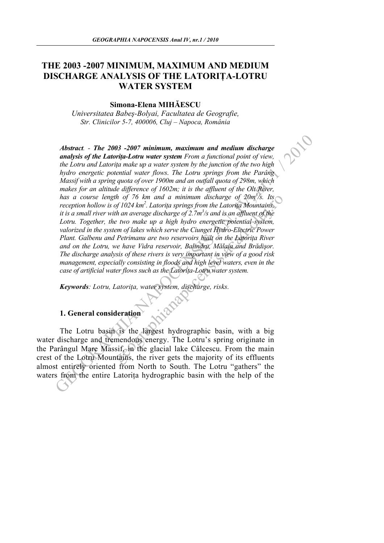# **THE 2003 -2007 MINIMUM, MAXIMUM AND MEDIUM DISCHARGE ANALYSIS OF THE LATORIŢA-LOTRU WATER SYSTEM**

### **Simona-Elena MIHĂESCU**

*Universitatea Babeş-Bolyai, Facultatea de Geografie, Str. Clinicilor 5-7, 400006, Cluj – Napoca, România*

Abstract. - The 2003 -2007 minimum, maximum and medium discharge<br>
analysis of the Latorin-Loru water system From a functional point of view,<br>
the Loru and Latoring make up a water system for the pinction of the two high<br> th of 76 km and a minimum discharge of 20m'/s. Its<br>of 1024 km<sup>2</sup>. Latorita springs from the Latorita Mountains,<br>th an average discharge of 2.7m<sup>3</sup>/s and is an affluent of the<br>e two make up a high hydro energette potential *Abstract. - The 2003 -2007 minimum, maximum and medium discharge analysis of the Latoriţa-Lotru water system From a functional point of view, the Lotru and Latoriţa make up a water system by the junction of the two high hydro energetic potential water flows*. *The Lotru springs from the Parâng Massif with a spring quota of over 1900m and an outfall quota of 298m, which*  makes for an altitude difference of 1602m; it is the affluent of the Olt River, has a course length of 76 km and a minimum discharge of 20m<sup>3</sup>/s. Its *reception hollow is of 1024 km2 . Latoriţa springs from the Latoriţa Mountains, it is a small river with an average discharge of 2.7m<sup>3</sup>/s and is an affluent of the Lotru. Together, the two make up a high hydro energetic potential system, valorized in the system of lakes which serve the Ciunget Hydro-Electric Power Plant. Galbenu and Petrimanu are two reservoirs built on the Latorita River and on the Lotru, we have Vidra reservoir, Balindru, Mălaia and Brădişor. The discharge analysis of these rivers is very important in view of a good risk management, especially consisting in floods and high level waters, even in the case of artificial water flows such as the Latoriţa-Lotru water system.* 

*Keywords: Lotru, Latoriţa, water system, discharge, risks.* 

## **1. General consideration**

The Lotru basin is the largest hydrographic basin, with a big water discharge and tremendous energy. The Lotru's spring originate in the Parângul Mare Massif, in the glacial lake Câlcescu. From the main crest of the Lotru Mountains, the river gets the majority of its effluents almost entirely oriented from North to South. The Lotru "gathers" the waters from the entire Latoriţa hydrographic basin with the help of the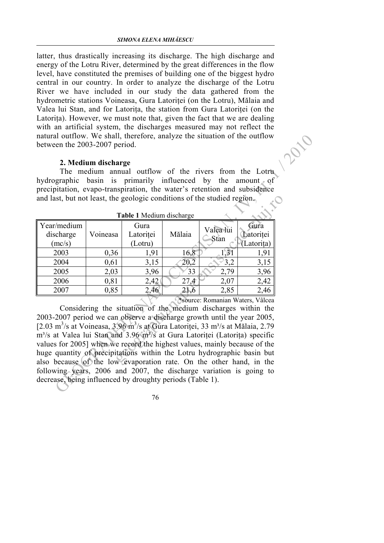latter, thus drastically increasing its discharge. The high discharge and energy of the Lotru River, determined by the great differences in the flow level, have constituted the premises of building one of the biggest hydro central in our country. In order to analyze the discharge of the Lotru River we have included in our study the data gathered from the hydrometric stations Voineasa, Gura Latoritei (on the Lotru), Mălaia and Valea lui Stan, and for Latoriţa, the station from Gura Latoriţei (on the Latorița). However, we must note that, given the fact that we are dealing with an artificial system, the discharges measured may not reflect the natural outflow. We shall, therefore, analyze the situation of the outflow between the 2003-2007 period.

#### **2. Medium discharge**

| natural outflow. We shall, therefore, analyze the situation of the outflow                                                                 |          |           |        |           |            |  |
|--------------------------------------------------------------------------------------------------------------------------------------------|----------|-----------|--------|-----------|------------|--|
| between the 2003-2007 period.                                                                                                              |          |           |        |           |            |  |
| 2. Medium discharge                                                                                                                        |          |           |        |           |            |  |
| The medium annual outflow of the rivers from the Lotru                                                                                     |          |           |        |           |            |  |
| basin is primarily influenced by the amount of<br>hydrographic                                                                             |          |           |        |           |            |  |
| precipitation, evapo-transpiration, the water's retention and subsidence                                                                   |          |           |        |           |            |  |
| and last, but not least, the geologic conditions of the studied region.                                                                    |          |           |        |           |            |  |
|                                                                                                                                            |          |           |        |           |            |  |
| Table 1 Medium discharge                                                                                                                   |          |           |        |           |            |  |
| Year/medium                                                                                                                                |          | Gura      |        | Valea lui | Gura       |  |
| discharge                                                                                                                                  | Voineasa | Latoriței | Mălaia | Stan      | Latoritei  |  |
| (mc/s)                                                                                                                                     |          | (Lotru)   |        |           | (Latorița) |  |
| 2003                                                                                                                                       | 0,36     | 1,91      | 16,8   | 1,31      | 1,91       |  |
| 2004                                                                                                                                       | 0,61     | 3,15      | 20,2   | 3,2       | 3,15       |  |
| 2005                                                                                                                                       | 2,03     | 3,96      | 33     | 2,79      | 3,96       |  |
| 2006                                                                                                                                       | 0,81     | 2,42      | 27,4   | 2,07      | 2,42       |  |
| 2007                                                                                                                                       | 0,85     | 2,46      | 21,6   | 2,85      | 2,46       |  |
| *source: Romanian Waters, Vâlcea                                                                                                           |          |           |        |           |            |  |
| Considering the situation of the medium discharges within the                                                                              |          |           |        |           |            |  |
| 2003-2007 period we can observe a discharge growth until the year 2005,                                                                    |          |           |        |           |            |  |
| [2.03 m <sup>3</sup> /s at Voineasa, $3.96$ m <sup>3</sup> /s at Gura Latoriței, 33 m <sup>3</sup> /s at Mălaia, 2.79                      |          |           |        |           |            |  |
| m <sup>3</sup> /s at Valea lui Stan and 3.96 m <sup>3</sup> /s at Gura Latoritei (Latorita) specific                                       |          |           |        |           |            |  |
| values for 2005] when we record the highest values, mainly because of the                                                                  |          |           |        |           |            |  |
| huge quantity of precipitations within the Lotru hydrographic basin but                                                                    |          |           |        |           |            |  |
| also because of the low evaporation rate. On the other hand, in the<br>following years, 2006 and 2007, the discharge variation is going to |          |           |        |           |            |  |
| decrease, being influenced by droughty periods (Table 1).                                                                                  |          |           |        |           |            |  |
|                                                                                                                                            |          |           |        |           |            |  |

76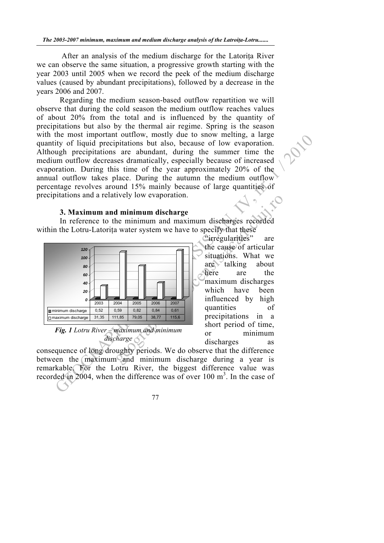After an analysis of the medium discharge for the Latorita River we can observe the same situation, a progressive growth starting with the year 2003 until 2005 when we record the peek of the medium discharge values (caused by abundant precipitations), followed by a decrease in the years 2006 and 2007.

Fig. II continuously moved to the same of the same of the content of the same of the case of the case of the same of the same of the same of the same of the same of the same of the same of the same of the same of the same Regarding the medium season-based outflow repartition we will observe that during the cold season the medium outflow reaches values of about 20% from the total and is influenced by the quantity of precipitations but also by the thermal air regime. Spring is the season with the most important outflow, mostly due to snow melting, a large quantity of liquid precipitations but also, because of low evaporation. Although precipitations are abundant, during the summer time the medium outflow decreases dramatically, especially because of increased evaporation. During this time of the year approximately 20% of the annual outflow takes place. During the autumn the medium outflow percentage revolves around 15% mainly because of large quantities of precipitations and a relatively low evaporation.

#### **3. Maximum and minimum discharge**

In reference to the minimum and maximum discharges recorded within the Lotru-Latorita water system we have to specify that these



*Fig. 1 Lotru River – maximum and minimum discharge* 

geographianal minimum discharge<br>
and minimum and maximum discharges recorded<br>
and water system we have to specify that these<br>
clurregularities" are<br>
the cause of articular<br>
struggeor of articular<br>
struggeor being that we<br> "irregularities" are the cause of articular situations. What we  $are$  talking about here are the maximum discharges which have been influenced by high quantities of precipitations in a short period of time, or minimum discharges as

consequence of long droughty periods. We do observe that the difference between the  $maximum$  and minimum discharge during a year is remarkable. For the Lotru River, the biggest difference value was recorded in 2004, when the difference was of over 100  $m<sup>3</sup>$ . In the case of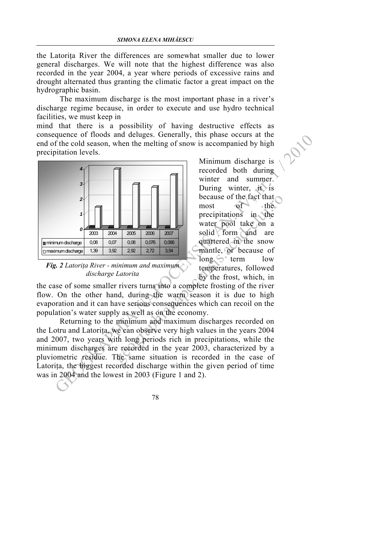the Latorita River the differences are somewhat smaller due to lower general discharges. We will note that the highest difference was also recorded in the year 2004, a year where periods of excessive rains and drought alternated thus granting the climatic factor a great impact on the hydrographic basin.

The maximum discharge is the most important phase in a river's discharge regime because, in order to execute and use hydro technical facilities, we must keep in

mind that there is a possibility of having destructive effects as consequence of floods and deluges. Generally, this phase occurs at the end of the cold season, when the melting of snow is accompanied by high precipitation levels.



*Fig. 2 Latoriţa River - minimum and maximum discharge Latorita* 

Minimum discharge is recorded both during winter and summer. During winter, it is because of the fact that most of the precipitations in the water pool take on a solid form and are quartered in the snow mantle, or because of  $\log$  term low temperatures, followed by the frost, which, in

the case of some smaller rivers turns into a complete frosting of the river flow. On the other hand, during the warm season it is due to high evaporation and it can have serious consequences which can recoil on the population's water supply as well as on the economy.

because of the fact that<br>
most<br>
most<br>
most<br>
most<br>
most<br>
most<br>
most<br>
most<br>
most<br>
most<br>
most<br>
most<br>
most<br>
most<br>
most<br>
most<br>
most<br>
most<br>
e or the fact that<br>
most<br>
words<br>
words in the water pool take on a<br>
equality for mode ar Returning to the minimum and maximum discharges recorded on the Lotru and Latorita, we can observe very high values in the years 2004 and 2007, two years with long periods rich in precipitations, while the minimum discharges are recorded in the year 2003, characterized by a pluviometric residue. The same situation is recorded in the case of Latorita, the biggest recorded discharge within the given period of time was in 2004 and the lowest in 2003 (Figure 1 and 2).

78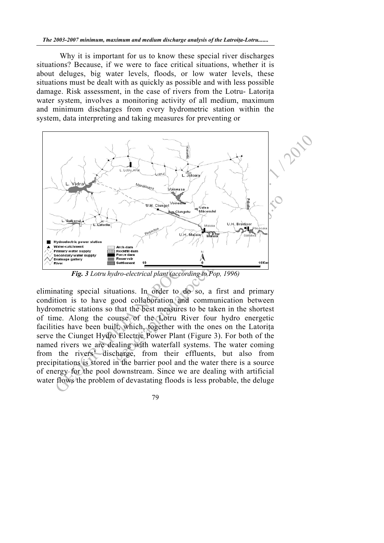Why it is important for us to know these special river discharges situations? Because, if we were to face critical situations, whether it is about deluges, big water levels, floods, or low water levels, these situations must be dealt with as quickly as possible and with less possible damage. Risk assessment, in the case of rivers from the Lotru- Latoriţa water system, involves a monitoring activity of all medium, maximum and minimum discharges from every hydrometric station within the system, data interpreting and taking measures for preventing or



*Fig. 3 Lotru hydro-electrical plant (according to Pop, 1996)* 

eliminating special situations. In order to  $d\theta$  so, a first and primary condition is to have good collaboration and communication between hydrometric stations so that the best measures to be taken in the shortest of time. Along the course of the Lotru River four hydro energetic facilities have been built, which, together with the ones on the Latoriţa serve the Ciunget Hydro Electric Power Plant (Figure 3). For both of the named rivers we are dealing with waterfall systems. The water coming from the rivers' discharge, from their effluents, but also from precipitations is stored in the barrier pool and the water there is a source of energy for the pool downstream. Since we are dealing with artificial water flows the problem of devastating floods is less probable, the deluge

79